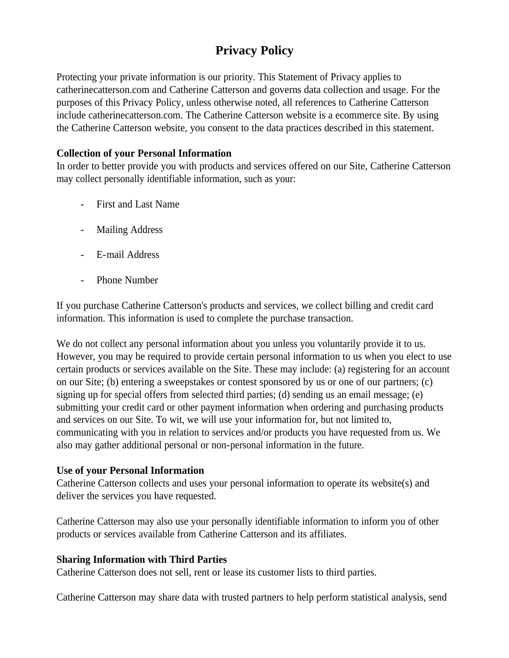# **Privacy Policy**

Protecting your private information is our priority. This Statement of Privacy applies to catherinecatterson.com and Catherine Catterson and governs data collection and usage. For the purposes of this Privacy Policy, unless otherwise noted, all references to Catherine Catterson include catherinecatterson.com. The Catherine Catterson website is a ecommerce site. By using the Catherine Catterson website, you consent to the data practices described in this statement.

#### **Collection of your Personal Information**

In order to better provide you with products and services offered on our Site, Catherine Catterson may collect personally identifiable information, such as your:

- First and Last Name
- Mailing Address
- E-mail Address
- Phone Number

If you purchase Catherine Catterson's products and services, we collect billing and credit card information. This information is used to complete the purchase transaction.

We do not collect any personal information about you unless you voluntarily provide it to us. However, you may be required to provide certain personal information to us when you elect to use certain products or services available on the Site. These may include: (a) registering for an account on our Site; (b) entering a sweepstakes or contest sponsored by us or one of our partners; (c) signing up for special offers from selected third parties; (d) sending us an email message; (e) submitting your credit card or other payment information when ordering and purchasing products and services on our Site. To wit, we will use your information for, but not limited to, communicating with you in relation to services and/or products you have requested from us. We also may gather additional personal or non-personal information in the future.

#### **Use of your Personal Information**

Catherine Catterson collects and uses your personal information to operate its website(s) and deliver the services you have requested.

Catherine Catterson may also use your personally identifiable information to inform you of other products or services available from Catherine Catterson and its affiliates.

## **Sharing Information with Third Parties**

Catherine Catterson does not sell, rent or lease its customer lists to third parties.

Catherine Catterson may share data with trusted partners to help perform statistical analysis, send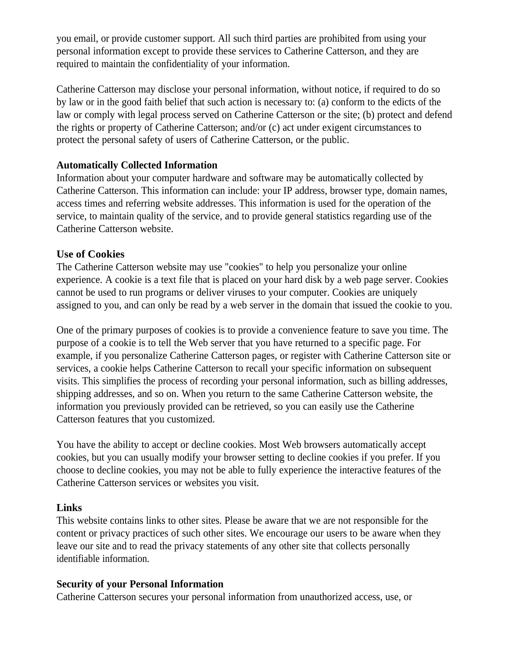you email, or provide customer support. All such third parties are prohibited from using your personal information except to provide these services to Catherine Catterson, and they are required to maintain the confidentiality of your information.

Catherine Catterson may disclose your personal information, without notice, if required to do so by law or in the good faith belief that such action is necessary to: (a) conform to the edicts of the law or comply with legal process served on Catherine Catterson or the site; (b) protect and defend the rights or property of Catherine Catterson; and/or (c) act under exigent circumstances to protect the personal safety of users of Catherine Catterson, or the public.

#### **Automatically Collected Information**

Information about your computer hardware and software may be automatically collected by Catherine Catterson. This information can include: your IP address, browser type, domain names, access times and referring website addresses. This information is used for the operation of the service, to maintain quality of the service, and to provide general statistics regarding use of the Catherine Catterson website.

## **Use of Cookies**

The Catherine Catterson website may use "cookies" to help you personalize your online experience. A cookie is a text file that is placed on your hard disk by a web page server. Cookies cannot be used to run programs or deliver viruses to your computer. Cookies are uniquely assigned to you, and can only be read by a web server in the domain that issued the cookie to you.

One of the primary purposes of cookies is to provide a convenience feature to save you time. The purpose of a cookie is to tell the Web server that you have returned to a specific page. For example, if you personalize Catherine Catterson pages, or register with Catherine Catterson site or services, a cookie helps Catherine Catterson to recall your specific information on subsequent visits. This simplifies the process of recording your personal information, such as billing addresses, shipping addresses, and so on. When you return to the same Catherine Catterson website, the information you previously provided can be retrieved, so you can easily use the Catherine Catterson features that you customized.

You have the ability to accept or decline cookies. Most Web browsers automatically accept cookies, but you can usually modify your browser setting to decline cookies if you prefer. If you choose to decline cookies, you may not be able to fully experience the interactive features of the Catherine Catterson services or websites you visit.

## **Links**

This website contains links to other sites. Please be aware that we are not responsible for the content or privacy practices of such other sites. We encourage our users to be aware when they leave our site and to read the privacy statements of any other site that collects personally identifiable information.

## **Security of your Personal Information**

Catherine Catterson secures your personal information from unauthorized access, use, or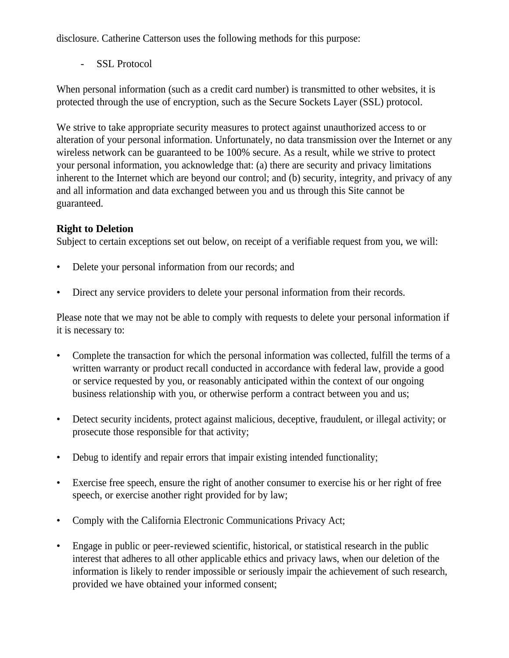disclosure. Catherine Catterson uses the following methods for this purpose:

- SSL Protocol

When personal information (such as a credit card number) is transmitted to other websites, it is protected through the use of encryption, such as the Secure Sockets Layer (SSL) protocol.

We strive to take appropriate security measures to protect against unauthorized access to or alteration of your personal information. Unfortunately, no data transmission over the Internet or any wireless network can be guaranteed to be 100% secure. As a result, while we strive to protect your personal information, you acknowledge that: (a) there are security and privacy limitations inherent to the Internet which are beyond our control; and (b) security, integrity, and privacy of any and all information and data exchanged between you and us through this Site cannot be guaranteed.

# **Right to Deletion**

Subject to certain exceptions set out below, on receipt of a verifiable request from you, we will:

- Delete your personal information from our records; and
- Direct any service providers to delete your personal information from their records.

Please note that we may not be able to comply with requests to delete your personal information if it is necessary to:

- Complete the transaction for which the personal information was collected, fulfill the terms of a written warranty or product recall conducted in accordance with federal law, provide a good or service requested by you, or reasonably anticipated within the context of our ongoing business relationship with you, or otherwise perform a contract between you and us;
- Detect security incidents, protect against malicious, deceptive, fraudulent, or illegal activity; or prosecute those responsible for that activity;
- Debug to identify and repair errors that impair existing intended functionality;
- Exercise free speech, ensure the right of another consumer to exercise his or her right of free speech, or exercise another right provided for by law;
- Comply with the California Electronic Communications Privacy Act;
- Engage in public or peer-reviewed scientific, historical, or statistical research in the public interest that adheres to all other applicable ethics and privacy laws, when our deletion of the information is likely to render impossible or seriously impair the achievement of such research, provided we have obtained your informed consent;